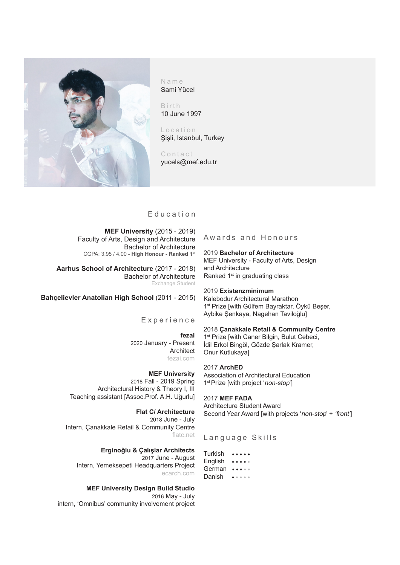

Name Sami Yücel

Birth 10 June 1997

Location Şişli, Istanbul, Turkey

Contact yucels@mef.edu.tr

## Education

**MEF University** (2015 - 2019) Faculty of Arts, Design and Architecture Bachelor of Architecture CGPA: 3.95 / 4.00 - **High Honour - Ranked 1st**

**Aarhus School of Architecture** (2017 - 2018) Bachelor of Architecture Exchange Student

# **Bahçelievler Anatolian High School** (2011 - 2015)

Experience

**fezai** 2020 January - Present Architect fezai.com

**MEF University** 2018 Fall - 2019 Spring

 Architectural History & Theory I, III Teaching assistant [Assoc.Prof. A.H. Uğurlu]

**Flat C/ Architecture** 2018 June - July Intern, Çanakkale Retail & Community Centre flatc.net

**Erginoğlu & Çalışlar Architects** 2017 June - August Intern, Yemeksepeti Headquarters Project ecarch.com

**MEF University Design Build Studio**  2016 May - July intern, 'Omnibus' community involvement project Awards and Honours

2019 **Bachelor of Architecture** MEF University - Faculty of Arts, Design and Architecture

Ranked 1<sup>st</sup> in graduating class

2019 **Existenzminimum**

Kalebodur Architectural Marathon 1<sup>st</sup> Prize [with Gülfem Bayraktar, Öykü Beser, Aybike Şenkaya, Nagehan Taviloğlu]

### 2018 **Çanakkale Retail & Community Centre**

1<sup>st</sup> Prize [with Caner Bilgin, Bulut Cebeci, İdil Erkol Bingöl, Gözde Şarlak Kramer, Onur Kutlukaya]

# 2017 **ArchED**

Association of Architectural Education 1<sup>st</sup> Prize [with project 'non-stop']

2017 **MEF FADA** Architecture Student Award Second Year Award [with projects 'non-stop' + 'front']

Language Skills

Turkish ••••• English ••••• German ••••• Danish • • • • •